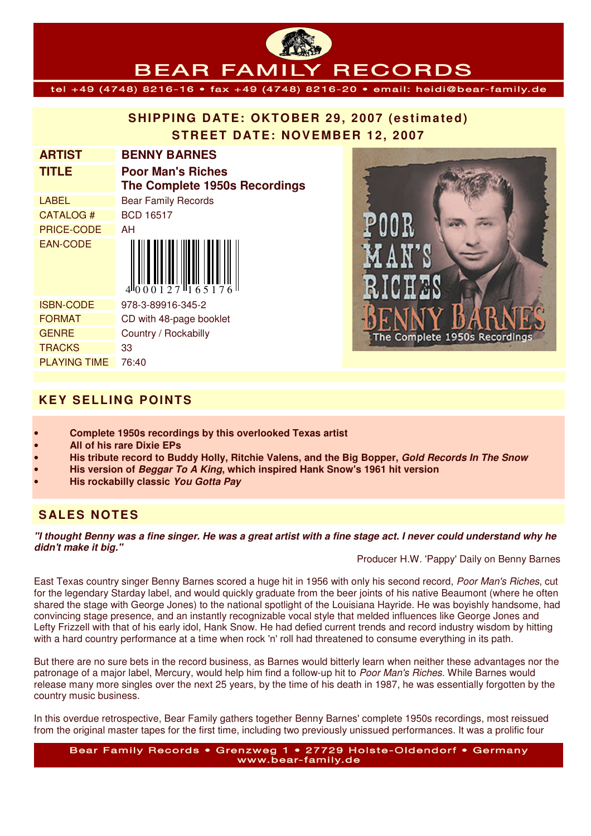tel +49 (4748) 8216-16 • fax +49 (4748) 8216-20 • email: heidi@bear-family.de

## **SHIPPING DATE: OKTOBER 29, 2007 (estimated) STREET DATE: NOVEMBER 12, 2007**

| <b>ARTIST</b>     | <b>BENNY BARNES</b>                                       |
|-------------------|-----------------------------------------------------------|
| <b>TITLE</b>      | <b>Poor Man's Riches</b><br>The Complete 1950s Recordings |
| <b>LABEL</b>      | <b>Bear Family Records</b>                                |
| CATALOG #         | <b>BCD 16517</b>                                          |
| <b>PRICE-CODE</b> | AH                                                        |
| <b>EAN-CODE</b>   | $4\frac{1}{10000127}$ $\frac{1}{16517}$                   |
| <b>ISBN-CODE</b>  | 978-3-89916-345-2                                         |
| <b>FORMAT</b>     | CD with 48-page booklet                                   |
| <b>GENRE</b>      | Country / Rockabilly                                      |
| <b>TRACKS</b>     | 33                                                        |
| PLAYING TIME      | 76:40                                                     |

**BEAR FAMIL** 



**RECORDS** 

### **KEY SELLING POINTS**

- **Complete 1950s recordings by this overlooked Texas artist**
- **All of his rare Dixie EPs**
- **His tribute record to Buddy Holly, Ritchie Valens, and the Big Bopper, Gold Records In The Snow**
- **His version of Beggar To A King, which inspired Hank Snow's 1961 hit version**
- **His rockabilly classic You Gotta Pay**

## **S ALES NOTES**

**"I thought Benny was a fine singer. He was a great artist with a fine stage act. I never could understand why he didn't make it big."** 

Producer H.W. 'Pappy' Daily on Benny Barnes

East Texas country singer Benny Barnes scored a huge hit in 1956 with only his second record, Poor Man's Riches, cut for the legendary Starday label, and would quickly graduate from the beer joints of his native Beaumont (where he often shared the stage with George Jones) to the national spotlight of the Louisiana Hayride. He was boyishly handsome, had convincing stage presence, and an instantly recognizable vocal style that melded influences like George Jones and Lefty Frizzell with that of his early idol, Hank Snow. He had defied current trends and record industry wisdom by hitting with a hard country performance at a time when rock 'n' roll had threatened to consume everything in its path.

But there are no sure bets in the record business, as Barnes would bitterly learn when neither these advantages nor the patronage of a major label, Mercury, would help him find a follow-up hit to Poor Man's Riches. While Barnes would release many more singles over the next 25 years, by the time of his death in 1987, he was essentially forgotten by the country music business.

In this overdue retrospective, Bear Family gathers together Benny Barnes' complete 1950s recordings, most reissued from the original master tapes for the first time, including two previously unissued performances. It was a prolific four

Bear Family Records . Grenzweg 1 . 27729 Holste-Oldendorf . Germany www.bear-family.de